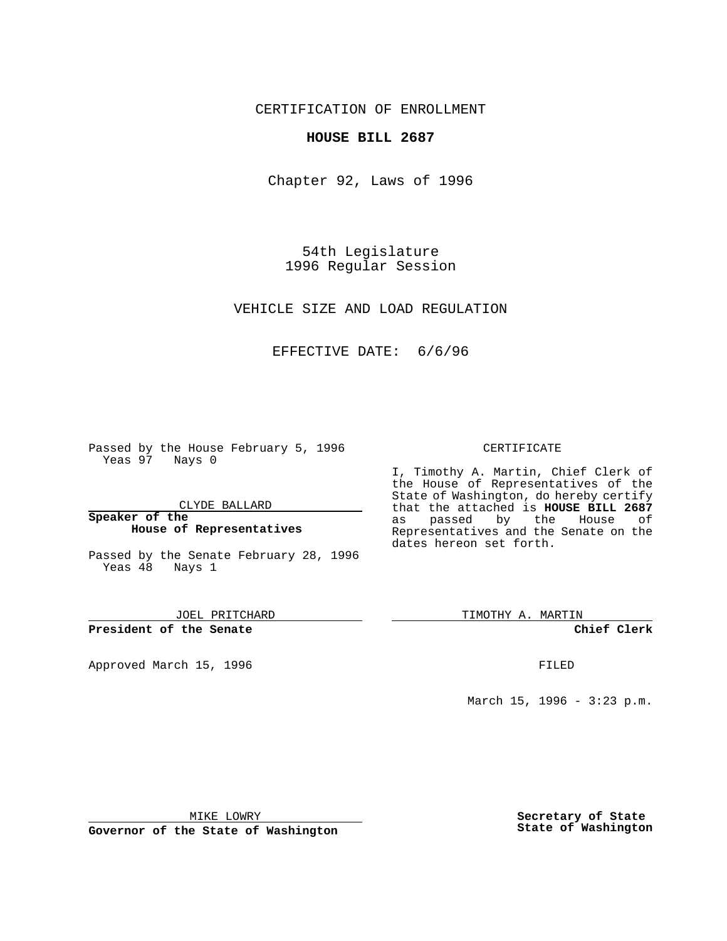CERTIFICATION OF ENROLLMENT

## **HOUSE BILL 2687**

Chapter 92, Laws of 1996

54th Legislature 1996 Regular Session

VEHICLE SIZE AND LOAD REGULATION

## EFFECTIVE DATE: 6/6/96

Passed by the House February 5, 1996 Yeas 97 Nays 0

CLYDE BALLARD

**Speaker of the House of Representatives**

Passed by the Senate February 28, 1996 Yeas 48 Nays 1

JOEL PRITCHARD

**President of the Senate**

Approved March 15, 1996 **FILED** 

### CERTIFICATE

I, Timothy A. Martin, Chief Clerk of the House of Representatives of the State of Washington, do hereby certify that the attached is **HOUSE BILL 2687**<br>as passed by the House of as passed by the House of Representatives and the Senate on the dates hereon set forth.

TIMOTHY A. MARTIN

**Chief Clerk**

March 15, 1996 - 3:23 p.m.

MIKE LOWRY

**Governor of the State of Washington**

**Secretary of State State of Washington**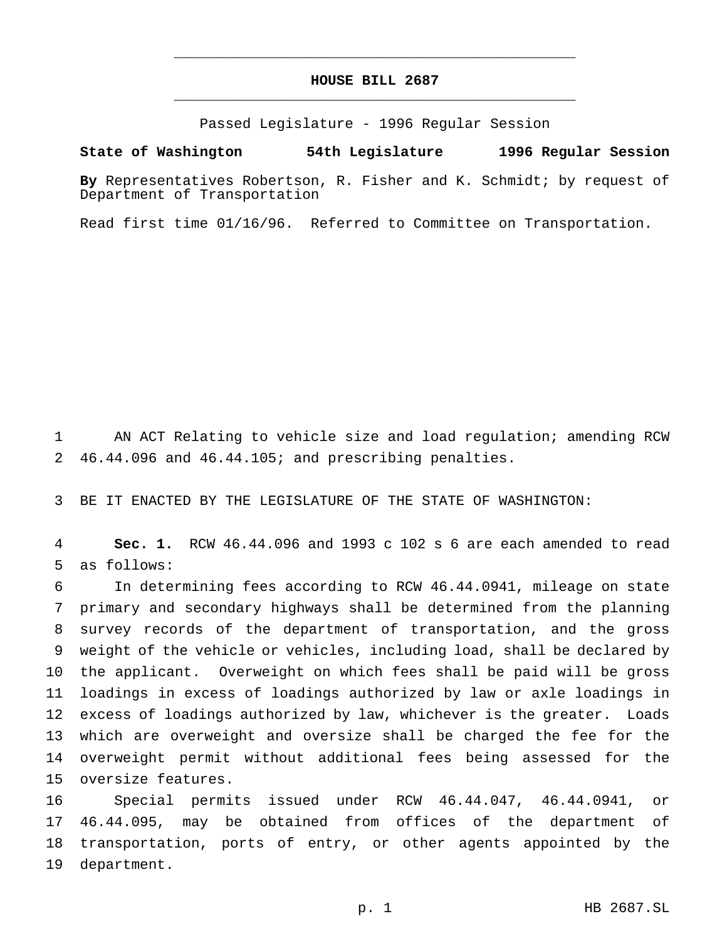# **HOUSE BILL 2687** \_\_\_\_\_\_\_\_\_\_\_\_\_\_\_\_\_\_\_\_\_\_\_\_\_\_\_\_\_\_\_\_\_\_\_\_\_\_\_\_\_\_\_\_\_\_\_

\_\_\_\_\_\_\_\_\_\_\_\_\_\_\_\_\_\_\_\_\_\_\_\_\_\_\_\_\_\_\_\_\_\_\_\_\_\_\_\_\_\_\_\_\_\_\_

Passed Legislature - 1996 Regular Session

#### **State of Washington 54th Legislature 1996 Regular Session**

**By** Representatives Robertson, R. Fisher and K. Schmidt; by request of Department of Transportation

Read first time 01/16/96. Referred to Committee on Transportation.

 AN ACT Relating to vehicle size and load regulation; amending RCW 46.44.096 and 46.44.105; and prescribing penalties.

BE IT ENACTED BY THE LEGISLATURE OF THE STATE OF WASHINGTON:

 **Sec. 1.** RCW 46.44.096 and 1993 c 102 s 6 are each amended to read as follows:

 In determining fees according to RCW 46.44.0941, mileage on state primary and secondary highways shall be determined from the planning survey records of the department of transportation, and the gross weight of the vehicle or vehicles, including load, shall be declared by the applicant. Overweight on which fees shall be paid will be gross loadings in excess of loadings authorized by law or axle loadings in excess of loadings authorized by law, whichever is the greater. Loads which are overweight and oversize shall be charged the fee for the overweight permit without additional fees being assessed for the oversize features.

 Special permits issued under RCW 46.44.047, 46.44.0941, or 46.44.095, may be obtained from offices of the department of transportation, ports of entry, or other agents appointed by the department.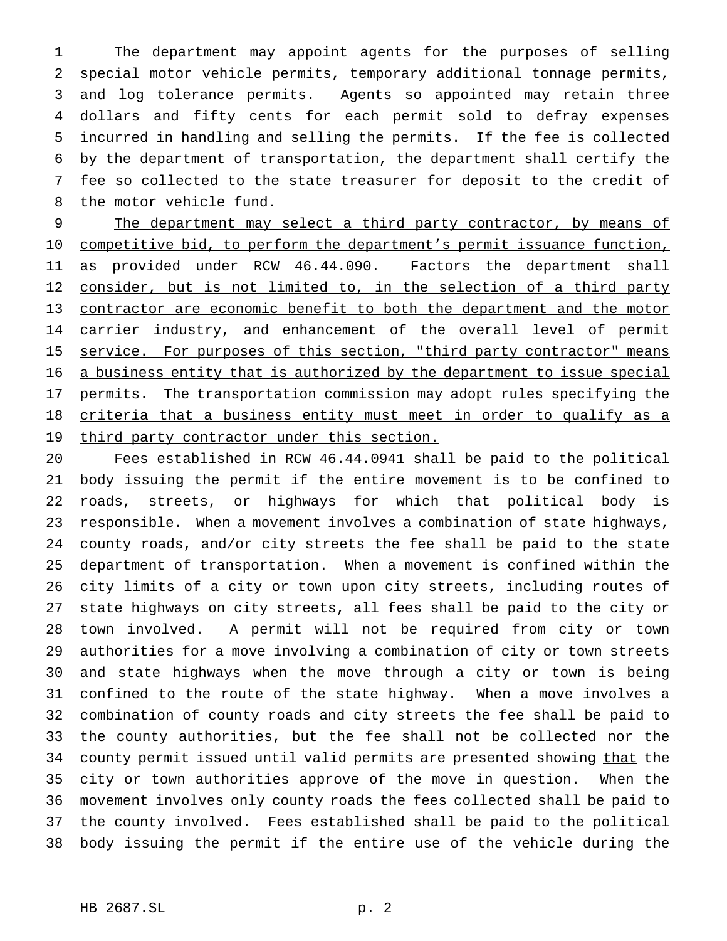The department may appoint agents for the purposes of selling special motor vehicle permits, temporary additional tonnage permits, and log tolerance permits. Agents so appointed may retain three dollars and fifty cents for each permit sold to defray expenses incurred in handling and selling the permits. If the fee is collected by the department of transportation, the department shall certify the fee so collected to the state treasurer for deposit to the credit of the motor vehicle fund.

9 The department may select a third party contractor, by means of 10 competitive bid, to perform the department's permit issuance function, as provided under RCW 46.44.090. Factors the department shall 12 consider, but is not limited to, in the selection of a third party contractor are economic benefit to both the department and the motor 14 carrier industry, and enhancement of the overall level of permit 15 service. For purposes of this section, "third party contractor" means a business entity that is authorized by the department to issue special 17 permits. The transportation commission may adopt rules specifying the criteria that a business entity must meet in order to qualify as a 19 third party contractor under this section.

 Fees established in RCW 46.44.0941 shall be paid to the political body issuing the permit if the entire movement is to be confined to roads, streets, or highways for which that political body is responsible. When a movement involves a combination of state highways, county roads, and/or city streets the fee shall be paid to the state department of transportation. When a movement is confined within the city limits of a city or town upon city streets, including routes of state highways on city streets, all fees shall be paid to the city or town involved. A permit will not be required from city or town authorities for a move involving a combination of city or town streets and state highways when the move through a city or town is being confined to the route of the state highway. When a move involves a combination of county roads and city streets the fee shall be paid to the county authorities, but the fee shall not be collected nor the 34 county permit issued until valid permits are presented showing that the city or town authorities approve of the move in question. When the movement involves only county roads the fees collected shall be paid to the county involved. Fees established shall be paid to the political body issuing the permit if the entire use of the vehicle during the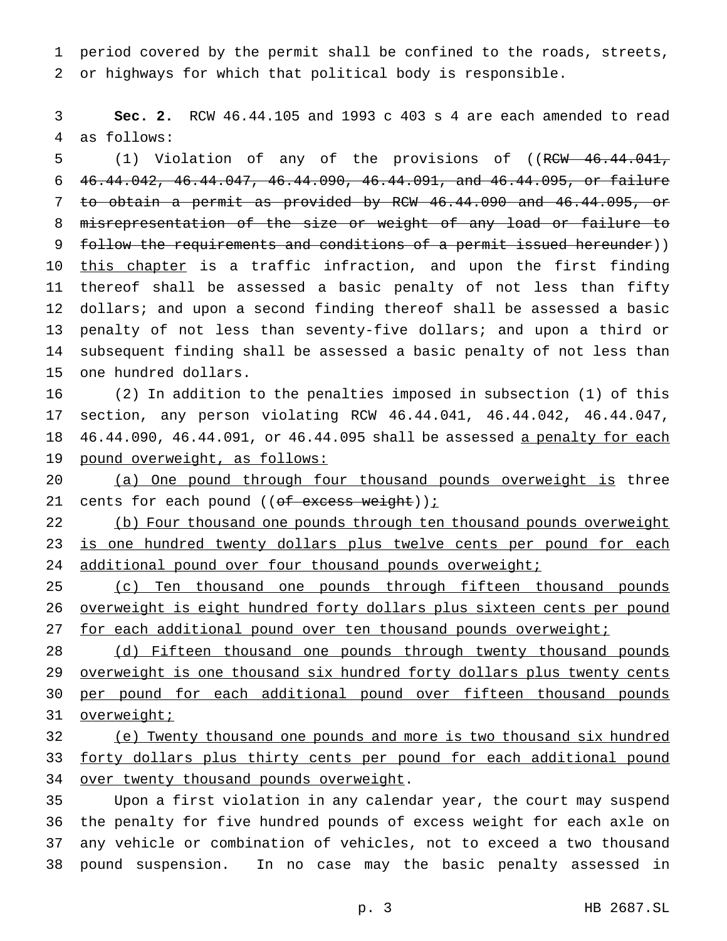1 period covered by the permit shall be confined to the roads, streets, 2 or highways for which that political body is responsible.

3 **Sec. 2.** RCW 46.44.105 and 1993 c 403 s 4 are each amended to read 4 as follows:

5 (1) Violation of any of the provisions of ((RCW 46.44.041, 46.44.042, 46.44.047, 46.44.090, 46.44.091, and 46.44.095, or failure to obtain a permit as provided by RCW 46.44.090 and 46.44.095, or misrepresentation of the size or weight of any load or failure to follow the requirements and conditions of a permit issued hereunder)) 10 this chapter is a traffic infraction, and upon the first finding thereof shall be assessed a basic penalty of not less than fifty 12 dollars; and upon a second finding thereof shall be assessed a basic penalty of not less than seventy-five dollars; and upon a third or subsequent finding shall be assessed a basic penalty of not less than one hundred dollars.

 (2) In addition to the penalties imposed in subsection (1) of this section, any person violating RCW 46.44.041, 46.44.042, 46.44.047, 18 46.44.090, 46.44.091, or 46.44.095 shall be assessed a penalty for each pound overweight, as follows:

20 (a) One pound through four thousand pounds overweight is three 21 cents for each pound  $((of excess weight))$  ;

22 (b) Four thousand one pounds through ten thousand pounds overweight 23 is one hundred twenty dollars plus twelve cents per pound for each 24 additional pound over four thousand pounds overweight;

25 (c) Ten thousand one pounds through fifteen thousand pounds 26 overweight is eight hundred forty dollars plus sixteen cents per pound 27 for each additional pound over ten thousand pounds overweight;

28 (d) Fifteen thousand one pounds through twenty thousand pounds 29 overweight is one thousand six hundred forty dollars plus twenty cents 30 per pound for each additional pound over fifteen thousand pounds 31 overweight;

32 (e) Twenty thousand one pounds and more is two thousand six hundred 33 forty dollars plus thirty cents per pound for each additional pound 34 over twenty thousand pounds overweight.

 Upon a first violation in any calendar year, the court may suspend the penalty for five hundred pounds of excess weight for each axle on any vehicle or combination of vehicles, not to exceed a two thousand pound suspension. In no case may the basic penalty assessed in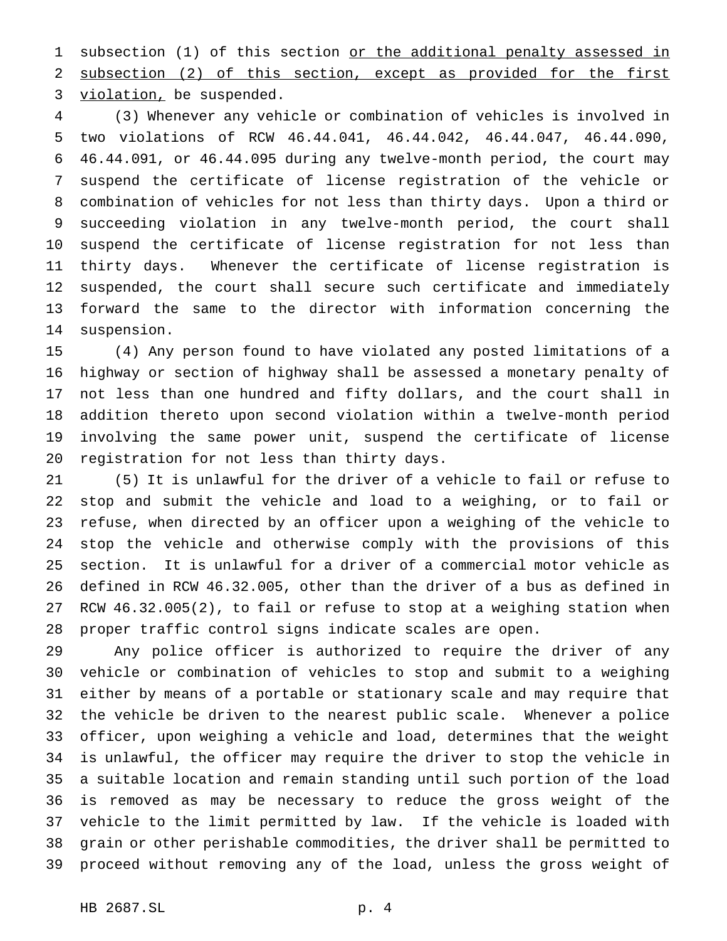1 subsection (1) of this section or the additional penalty assessed in subsection (2) of this section, except as provided for the first 3 violation, be suspended.

 (3) Whenever any vehicle or combination of vehicles is involved in two violations of RCW 46.44.041, 46.44.042, 46.44.047, 46.44.090, 46.44.091, or 46.44.095 during any twelve-month period, the court may suspend the certificate of license registration of the vehicle or combination of vehicles for not less than thirty days. Upon a third or succeeding violation in any twelve-month period, the court shall suspend the certificate of license registration for not less than thirty days. Whenever the certificate of license registration is suspended, the court shall secure such certificate and immediately forward the same to the director with information concerning the suspension.

 (4) Any person found to have violated any posted limitations of a highway or section of highway shall be assessed a monetary penalty of not less than one hundred and fifty dollars, and the court shall in addition thereto upon second violation within a twelve-month period involving the same power unit, suspend the certificate of license registration for not less than thirty days.

 (5) It is unlawful for the driver of a vehicle to fail or refuse to stop and submit the vehicle and load to a weighing, or to fail or refuse, when directed by an officer upon a weighing of the vehicle to stop the vehicle and otherwise comply with the provisions of this section. It is unlawful for a driver of a commercial motor vehicle as defined in RCW 46.32.005, other than the driver of a bus as defined in RCW 46.32.005(2), to fail or refuse to stop at a weighing station when proper traffic control signs indicate scales are open.

 Any police officer is authorized to require the driver of any vehicle or combination of vehicles to stop and submit to a weighing either by means of a portable or stationary scale and may require that the vehicle be driven to the nearest public scale. Whenever a police officer, upon weighing a vehicle and load, determines that the weight is unlawful, the officer may require the driver to stop the vehicle in a suitable location and remain standing until such portion of the load is removed as may be necessary to reduce the gross weight of the vehicle to the limit permitted by law. If the vehicle is loaded with grain or other perishable commodities, the driver shall be permitted to proceed without removing any of the load, unless the gross weight of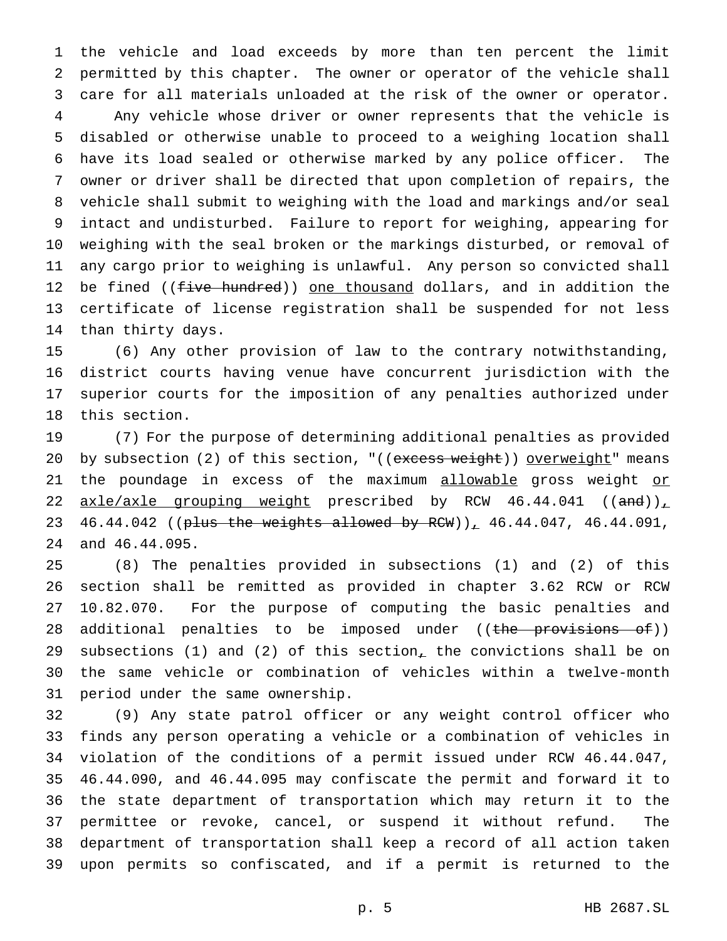the vehicle and load exceeds by more than ten percent the limit permitted by this chapter. The owner or operator of the vehicle shall care for all materials unloaded at the risk of the owner or operator. Any vehicle whose driver or owner represents that the vehicle is disabled or otherwise unable to proceed to a weighing location shall have its load sealed or otherwise marked by any police officer. The owner or driver shall be directed that upon completion of repairs, the vehicle shall submit to weighing with the load and markings and/or seal intact and undisturbed. Failure to report for weighing, appearing for weighing with the seal broken or the markings disturbed, or removal of any cargo prior to weighing is unlawful. Any person so convicted shall 12 be fined ((five hundred)) one thousand dollars, and in addition the certificate of license registration shall be suspended for not less than thirty days.

 (6) Any other provision of law to the contrary notwithstanding, district courts having venue have concurrent jurisdiction with the superior courts for the imposition of any penalties authorized under this section.

 (7) For the purpose of determining additional penalties as provided 20 by subsection (2) of this section, "((excess weight)) overweight" means 21 the poundage in excess of the maximum allowable gross weight or 22  $axle/axle$  grouping weight prescribed by RCW 46.44.041 ((and)), 23 46.44.042 ((plus the weights allowed by RCW)), 46.44.047, 46.44.091, and 46.44.095.

 (8) The penalties provided in subsections (1) and (2) of this section shall be remitted as provided in chapter 3.62 RCW or RCW 10.82.070. For the purpose of computing the basic penalties and 28 additional penalties to be imposed under ((the provisions of)) 29 subsections (1) and (2) of this section, the convictions shall be on the same vehicle or combination of vehicles within a twelve-month period under the same ownership.

 (9) Any state patrol officer or any weight control officer who finds any person operating a vehicle or a combination of vehicles in violation of the conditions of a permit issued under RCW 46.44.047, 46.44.090, and 46.44.095 may confiscate the permit and forward it to the state department of transportation which may return it to the permittee or revoke, cancel, or suspend it without refund. The department of transportation shall keep a record of all action taken upon permits so confiscated, and if a permit is returned to the